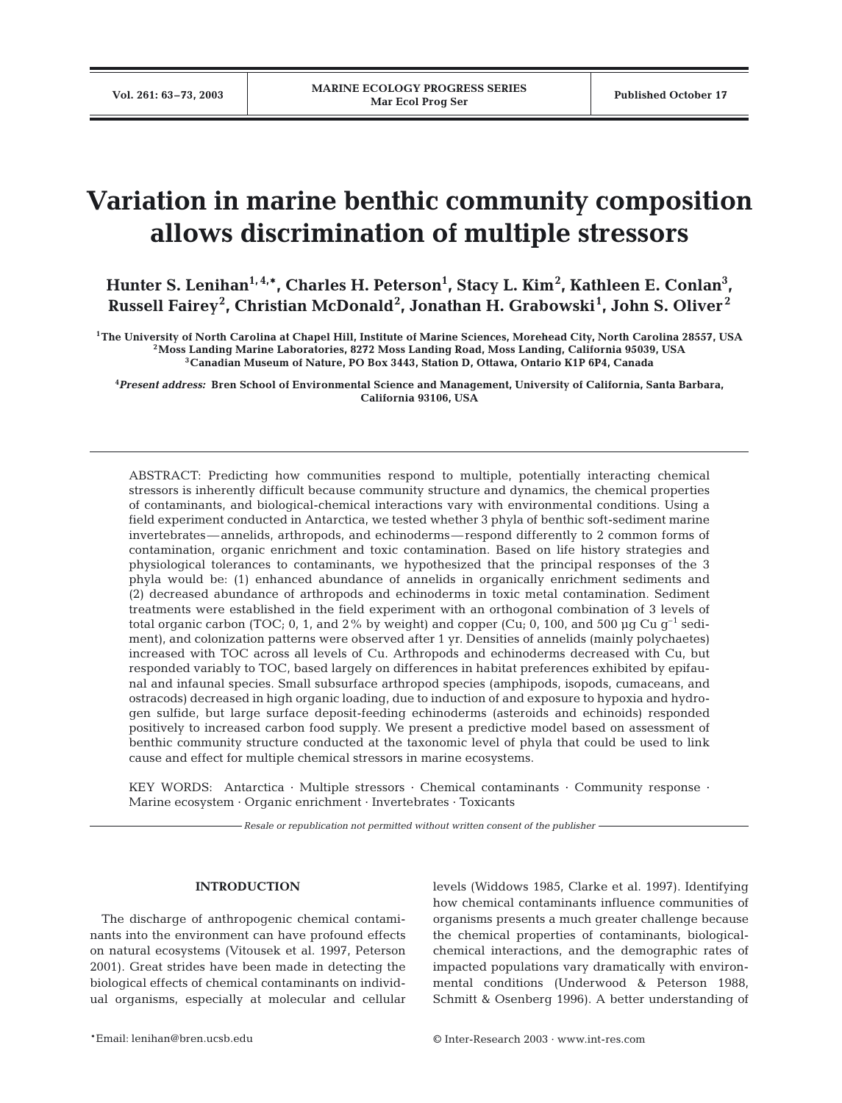# **Variation in marine benthic community composition allows discrimination of multiple stressors**

Hunter S. Lenihan<sup>1,4,\*</sup>, Charles H. Peterson<sup>1</sup>, Stacy L. Kim<sup>2</sup>, Kathleen E. Conlan<sup>3</sup>, **Russell Fairey<sup>2</sup> , Christian McDonald<sup>2</sup> , Jonathan H. Grabowski<sup>1</sup> , John S. Oliver <sup>2</sup>**

**1The University of North Carolina at Chapel Hill, Institute of Marine Sciences, Morehead City, North Carolina 28557, USA 2Moss Landing Marine Laboratories, 8272 Moss Landing Road, Moss Landing, California 95039, USA 3Canadian Museum of Nature, PO Box 3443, Station D, Ottawa, Ontario K1P 6P4, Canada**

**4** *Present address:* **Bren School of Environmental Science and Management, University of California, Santa Barbara, California 93106, USA**

ABSTRACT: Predicting how communities respond to multiple, potentially interacting chemical stressors is inherently difficult because community structure and dynamics, the chemical properties of contaminants, and biological-chemical interactions vary with environmental conditions. Using a field experiment conducted in Antarctica, we tested whether 3 phyla of benthic soft-sediment marine invertebrates—annelids, arthropods, and echinoderms—respond differently to 2 common forms of contamination, organic enrichment and toxic contamination. Based on life history strategies and physiological tolerances to contaminants, we hypothesized that the principal responses of the 3 phyla would be: (1) enhanced abundance of annelids in organically enrichment sediments and (2) decreased abundance of arthropods and echinoderms in toxic metal contamination. Sediment treatments were established in the field experiment with an orthogonal combination of 3 levels of total organic carbon (TOC; 0, 1, and 2% by weight) and copper (Cu; 0, 100, and 500 µg Cu  $g^{-1}$  sediment), and colonization patterns were observed after 1 yr. Densities of annelids (mainly polychaetes) increased with TOC across all levels of Cu. Arthropods and echinoderms decreased with Cu, but responded variably to TOC, based largely on differences in habitat preferences exhibited by epifaunal and infaunal species. Small subsurface arthropod species (amphipods, isopods, cumaceans, and ostracods) decreased in high organic loading, due to induction of and exposure to hypoxia and hydrogen sulfide, but large surface deposit-feeding echinoderms (asteroids and echinoids) responded positively to increased carbon food supply. We present a predictive model based on assessment of benthic community structure conducted at the taxonomic level of phyla that could be used to link cause and effect for multiple chemical stressors in marine ecosystems.

KEY WORDS: Antarctica · Multiple stressors · Chemical contaminants · Community response · Marine ecosystem · Organic enrichment · Invertebrates · Toxicants

*Resale or republication not permitted without written consent of the publisher*

#### **INTRODUCTION**

The discharge of anthropogenic chemical contaminants into the environment can have profound effects on natural ecosystems (Vitousek et al. 1997, Peterson 2001). Great strides have been made in detecting the biological effects of chemical contaminants on individual organisms, especially at molecular and cellular

levels (Widdows 1985, Clarke et al. 1997). Identifying how chemical contaminants influence communities of organisms presents a much greater challenge because the chemical properties of contaminants, biologicalchemical interactions, and the demographic rates of impacted populations vary dramatically with environmental conditions (Underwood & Peterson 1988, Schmitt & Osenberg 1996). A better understanding of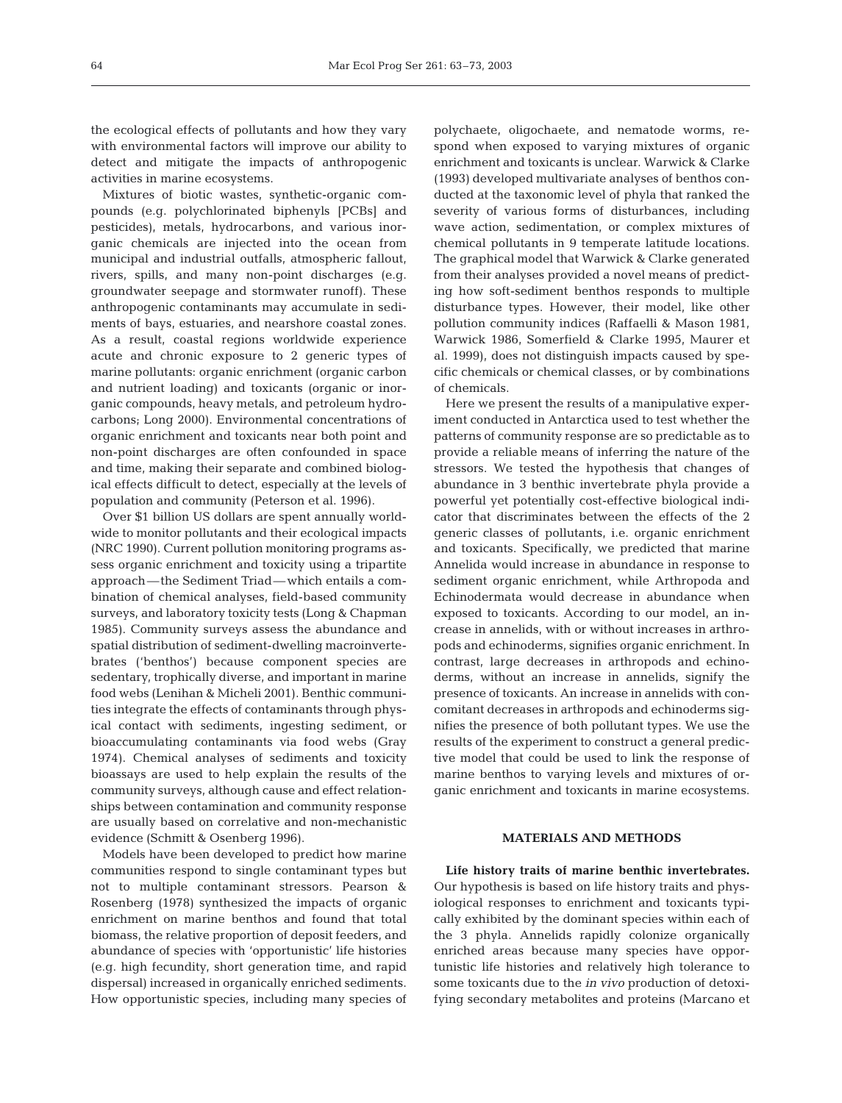the ecological effects of pollutants and how they vary with environmental factors will improve our ability to detect and mitigate the impacts of anthropogenic activities in marine ecosystems.

Mixtures of biotic wastes, synthetic-organic compounds (e.g. polychlorinated biphenyls [PCBs] and pesticides), metals, hydrocarbons, and various inorganic chemicals are injected into the ocean from municipal and industrial outfalls, atmospheric fallout, rivers, spills, and many non-point discharges (e.g. groundwater seepage and stormwater runoff). These anthropogenic contaminants may accumulate in sediments of bays, estuaries, and nearshore coastal zones. As a result, coastal regions worldwide experience acute and chronic exposure to 2 generic types of marine pollutants: organic enrichment (organic carbon and nutrient loading) and toxicants (organic or inorganic compounds, heavy metals, and petroleum hydrocarbons; Long 2000). Environmental concentrations of organic enrichment and toxicants near both point and non-point discharges are often confounded in space and time, making their separate and combined biological effects difficult to detect, especially at the levels of population and community (Peterson et al. 1996).

Over \$1 billion US dollars are spent annually worldwide to monitor pollutants and their ecological impacts (NRC 1990). Current pollution monitoring programs assess organic enrichment and toxicity using a tripartite approach—the Sediment Triad—which entails a combination of chemical analyses, field-based community surveys, and laboratory toxicity tests (Long & Chapman 1985). Community surveys assess the abundance and spatial distribution of sediment-dwelling macroinvertebrates ('benthos') because component species are sedentary, trophically diverse, and important in marine food webs (Lenihan & Micheli 2001). Benthic communities integrate the effects of contaminants through physical contact with sediments, ingesting sediment, or bioaccumulating contaminants via food webs (Gray 1974). Chemical analyses of sediments and toxicity bioassays are used to help explain the results of the community surveys, although cause and effect relationships between contamination and community response are usually based on correlative and non-mechanistic evidence (Schmitt & Osenberg 1996).

Models have been developed to predict how marine communities respond to single contaminant types but not to multiple contaminant stressors. Pearson & Rosenberg (1978) synthesized the impacts of organic enrichment on marine benthos and found that total biomass, the relative proportion of deposit feeders, and abundance of species with 'opportunistic' life histories (e.g. high fecundity, short generation time, and rapid dispersal) increased in organically enriched sediments. How opportunistic species, including many species of

polychaete, oligochaete, and nematode worms, respond when exposed to varying mixtures of organic enrichment and toxicants is unclear. Warwick & Clarke (1993) developed multivariate analyses of benthos conducted at the taxonomic level of phyla that ranked the severity of various forms of disturbances, including wave action, sedimentation, or complex mixtures of chemical pollutants in 9 temperate latitude locations. The graphical model that Warwick & Clarke generated from their analyses provided a novel means of predicting how soft-sediment benthos responds to multiple disturbance types. However, their model, like other pollution community indices (Raffaelli & Mason 1981, Warwick 1986, Somerfield & Clarke 1995, Maurer et al. 1999), does not distinguish impacts caused by specific chemicals or chemical classes, or by combinations of chemicals.

Here we present the results of a manipulative experiment conducted in Antarctica used to test whether the patterns of community response are so predictable as to provide a reliable means of inferring the nature of the stressors. We tested the hypothesis that changes of abundance in 3 benthic invertebrate phyla provide a powerful yet potentially cost-effective biological indicator that discriminates between the effects of the 2 generic classes of pollutants, i.e. organic enrichment and toxicants. Specifically, we predicted that marine Annelida would increase in abundance in response to sediment organic enrichment, while Arthropoda and Echinodermata would decrease in abundance when exposed to toxicants. According to our model, an increase in annelids, with or without increases in arthropods and echinoderms, signifies organic enrichment. In contrast, large decreases in arthropods and echinoderms, without an increase in annelids, signify the presence of toxicants. An increase in annelids with concomitant decreases in arthropods and echinoderms signifies the presence of both pollutant types. We use the results of the experiment to construct a general predictive model that could be used to link the response of marine benthos to varying levels and mixtures of organic enrichment and toxicants in marine ecosystems.

## **MATERIALS AND METHODS**

**Life history traits of marine benthic invertebrates.** Our hypothesis is based on life history traits and physiological responses to enrichment and toxicants typically exhibited by the dominant species within each of the 3 phyla. Annelids rapidly colonize organically enriched areas because many species have opportunistic life histories and relatively high tolerance to some toxicants due to the *in vivo* production of detoxifying secondary metabolites and proteins (Marcano et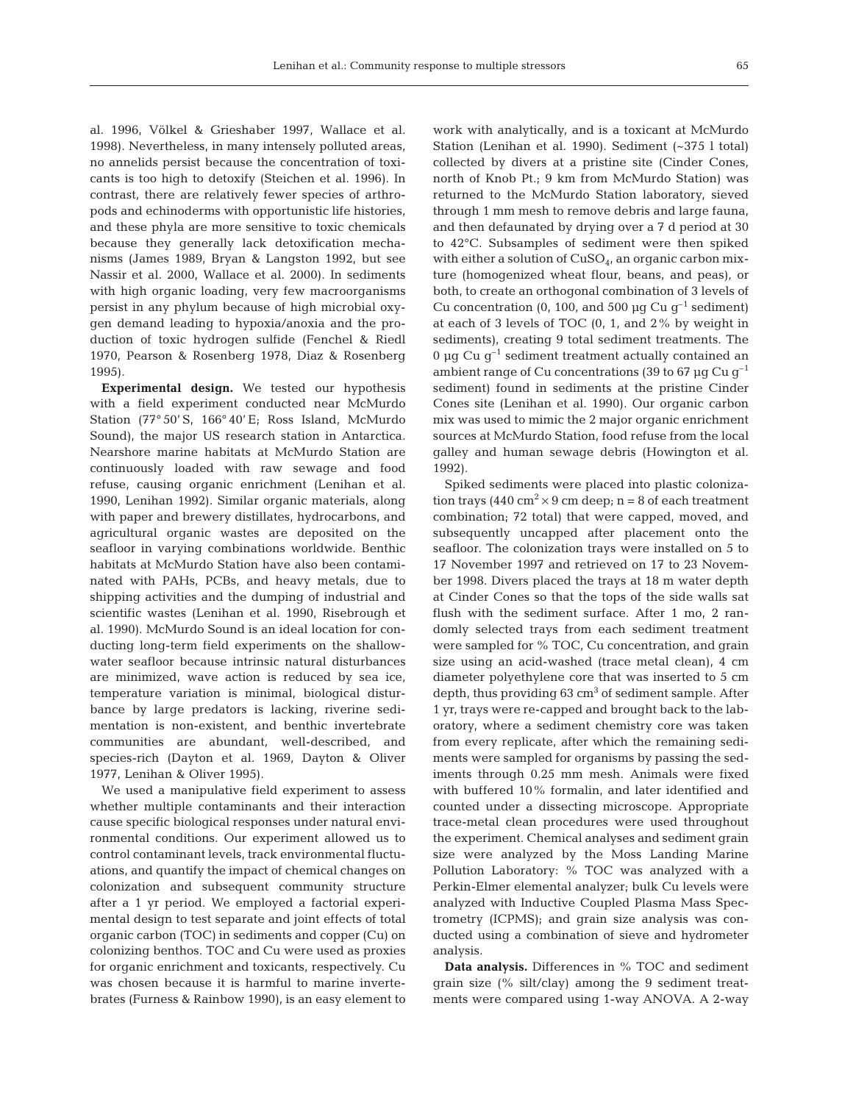al. 1996, Völkel & Grieshaber 1997, Wallace et al. 1998). Nevertheless, in many intensely polluted areas, no annelids persist because the concentration of toxicants is too high to detoxify (Steichen et al. 1996). In contrast, there are relatively fewer species of arthropods and echinoderms with opportunistic life histories, and these phyla are more sensitive to toxic chemicals because they generally lack detoxification mechanisms (James 1989, Bryan & Langston 1992, but see Nassir et al. 2000, Wallace et al. 2000). In sediments with high organic loading, very few macroorganisms persist in any phylum because of high microbial oxygen demand leading to hypoxia/anoxia and the production of toxic hydrogen sulfide (Fenchel & Riedl 1970, Pearson & Rosenberg 1978, Diaz & Rosenberg 1995).

**Experimental design.** We tested our hypothesis with a field experiment conducted near McMurdo Station (77° 50' S, 166° 40' E; Ross Island, McMurdo Sound), the major US research station in Antarctica. Nearshore marine habitats at McMurdo Station are continuously loaded with raw sewage and food refuse, causing organic enrichment (Lenihan et al. 1990, Lenihan 1992). Similar organic materials, along with paper and brewery distillates, hydrocarbons, and agricultural organic wastes are deposited on the seafloor in varying combinations worldwide. Benthic habitats at McMurdo Station have also been contaminated with PAHs, PCBs, and heavy metals, due to shipping activities and the dumping of industrial and scientific wastes (Lenihan et al. 1990, Risebrough et al. 1990). McMurdo Sound is an ideal location for conducting long-term field experiments on the shallowwater seafloor because intrinsic natural disturbances are minimized, wave action is reduced by sea ice, temperature variation is minimal, biological disturbance by large predators is lacking, riverine sedimentation is non-existent, and benthic invertebrate communities are abundant, well-described, and species-rich (Dayton et al. 1969, Dayton & Oliver 1977, Lenihan & Oliver 1995).

We used a manipulative field experiment to assess whether multiple contaminants and their interaction cause specific biological responses under natural environmental conditions. Our experiment allowed us to control contaminant levels, track environmental fluctuations, and quantify the impact of chemical changes on colonization and subsequent community structure after a 1 yr period. We employed a factorial experimental design to test separate and joint effects of total organic carbon (TOC) in sediments and copper (Cu) on colonizing benthos. TOC and Cu were used as proxies for organic enrichment and toxicants, respectively. Cu was chosen because it is harmful to marine invertebrates (Furness & Rainbow 1990), is an easy element to

work with analytically, and is a toxicant at McMurdo Station (Lenihan et al. 1990). Sediment (~375 l total) collected by divers at a pristine site (Cinder Cones, north of Knob Pt.; 9 km from McMurdo Station) was returned to the McMurdo Station laboratory, sieved through 1 mm mesh to remove debris and large fauna, and then defaunated by drying over a 7 d period at 30 to 42°C. Subsamples of sediment were then spiked with either a solution of  $CuSO<sub>4</sub>$ , an organic carbon mixture (homogenized wheat flour, beans, and peas), or both, to create an orthogonal combination of 3 levels of Cu concentration (0, 100, and 500  $\mu$ g Cu g<sup>-1</sup> sediment) at each of 3 levels of TOC (0, 1, and 2% by weight in sediments), creating 9 total sediment treatments. The 0 µg Cu  $g^{-1}$  sediment treatment actually contained an ambient range of Cu concentrations (39 to 67  $\mu$ g Cu g<sup>-1</sup> sediment) found in sediments at the pristine Cinder Cones site (Lenihan et al. 1990). Our organic carbon mix was used to mimic the 2 major organic enrichment sources at McMurdo Station, food refuse from the local galley and human sewage debris (Howington et al. 1992).

Spiked sediments were placed into plastic colonization trays (440 cm<sup>2</sup>  $\times$  9 cm deep; n = 8 of each treatment combination; 72 total) that were capped, moved, and subsequently uncapped after placement onto the seafloor. The colonization trays were installed on 5 to 17 November 1997 and retrieved on 17 to 23 November 1998. Divers placed the trays at 18 m water depth at Cinder Cones so that the tops of the side walls sat flush with the sediment surface. After 1 mo, 2 randomly selected trays from each sediment treatment were sampled for % TOC, Cu concentration, and grain size using an acid-washed (trace metal clean), 4 cm diameter polyethylene core that was inserted to 5 cm depth, thus providing  $63 \text{ cm}^3$  of sediment sample. After 1 yr, trays were re-capped and brought back to the laboratory, where a sediment chemistry core was taken from every replicate, after which the remaining sediments were sampled for organisms by passing the sediments through 0.25 mm mesh. Animals were fixed with buffered 10% formalin, and later identified and counted under a dissecting microscope. Appropriate trace-metal clean procedures were used throughout the experiment. Chemical analyses and sediment grain size were analyzed by the Moss Landing Marine Pollution Laboratory: % TOC was analyzed with a Perkin-Elmer elemental analyzer; bulk Cu levels were analyzed with Inductive Coupled Plasma Mass Spectrometry (ICPMS); and grain size analysis was conducted using a combination of sieve and hydrometer analysis.

**Data analysis.** Differences in % TOC and sediment grain size (% silt/clay) among the 9 sediment treatments were compared using 1-way ANOVA. A 2-way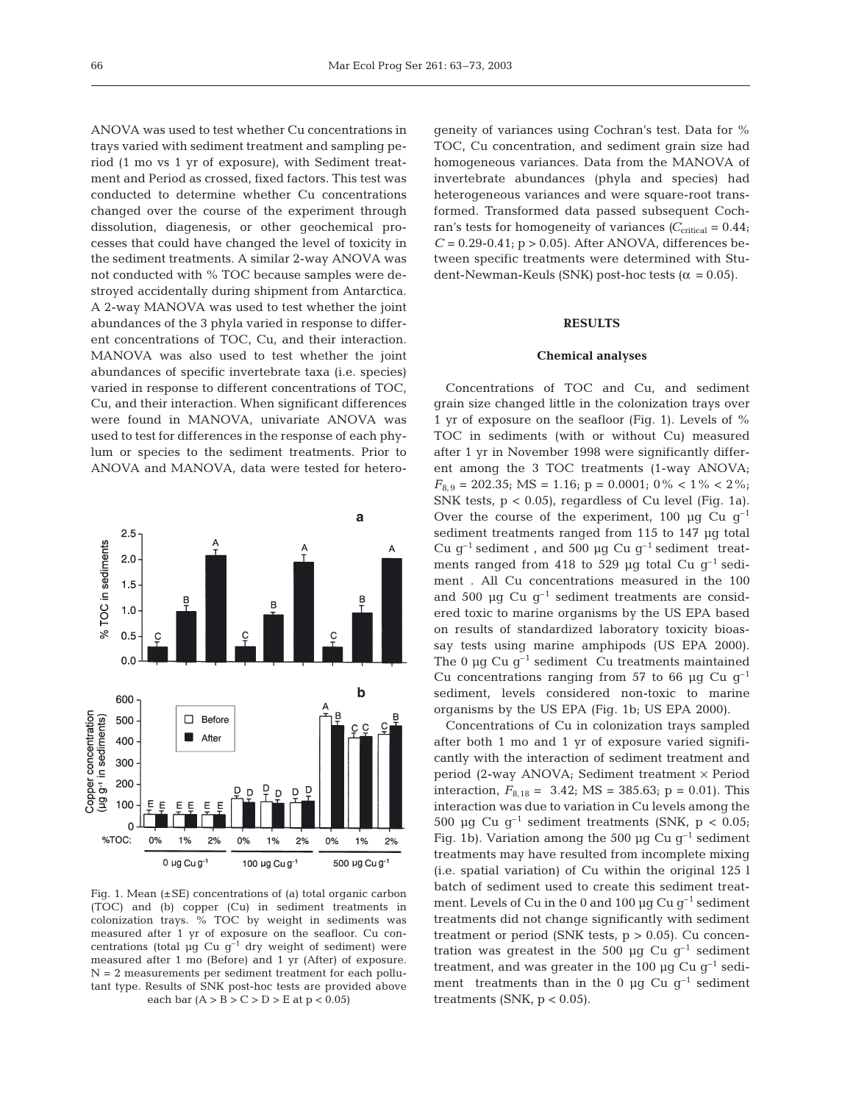ANOVA was used to test whether Cu concentrations in trays varied with sediment treatment and sampling period (1 mo vs 1 yr of exposure), with Sediment treatment and Period as crossed, fixed factors. This test was conducted to determine whether Cu concentrations changed over the course of the experiment through dissolution, diagenesis, or other geochemical processes that could have changed the level of toxicity in the sediment treatments. A similar 2-way ANOVA was not conducted with % TOC because samples were destroyed accidentally during shipment from Antarctica. A 2-way MANOVA was used to test whether the joint abundances of the 3 phyla varied in response to different concentrations of TOC, Cu, and their interaction. MANOVA was also used to test whether the joint abundances of specific invertebrate taxa (i.e. species) varied in response to different concentrations of TOC, Cu, and their interaction. When significant differences were found in MANOVA, univariate ANOVA was used to test for differences in the response of each phylum or species to the sediment treatments. Prior to ANOVA and MANOVA, data were tested for hetero-



Fig. 1. Mean  $(\pm SE)$  concentrations of (a) total organic carbon (TOC) and (b) copper (Cu) in sediment treatments in colonization trays. % TOC by weight in sediments was measured after 1 yr of exposure on the seafloor. Cu concentrations (total  $\mu$ g Cu g<sup>-1</sup> dry weight of sediment) were measured after 1 mo (Before) and 1 yr (After) of exposure. N = 2 measurements per sediment treatment for each pollutant type. Results of SNK post-hoc tests are provided above each bar  $(A > B > C > D > E$  at  $p < 0.05$ )

geneity of variances using Cochran's test. Data for % TOC, Cu concentration, and sediment grain size had homogeneous variances. Data from the MANOVA of invertebrate abundances (phyla and species) had heterogeneous variances and were square-root transformed. Transformed data passed subsequent Cochran's tests for homogeneity of variances  $(C_{critical} = 0.44;$  $C = 0.29 - 0.41$ ;  $p > 0.05$ ). After ANOVA, differences between specific treatments were determined with Student-Newman-Keuls (SNK) post-hoc tests ( $\alpha$  = 0.05).

### **RESULTS**

#### **Chemical analyses**

Concentrations of TOC and Cu, and sediment grain size changed little in the colonization trays over 1 yr of exposure on the seafloor (Fig. 1). Levels of % TOC in sediments (with or without Cu) measured after 1 yr in November 1998 were significantly different among the 3 TOC treatments (1-way ANOVA;  $F_{8.9}$  = 202.35; MS = 1.16; p = 0.0001; 0% < 1% < 2%; SNK tests,  $p < 0.05$ , regardless of Cu level (Fig. 1a). Over the course of the experiment, 100  $\mu$ g Cu g<sup>-1</sup> sediment treatments ranged from 115 to 147 µg total Cu  $q^{-1}$  sediment, and 500 µg Cu  $q^{-1}$  sediment treatments ranged from 418 to 529 µg total Cu  $g^{-1}$  sediment . All Cu concentrations measured in the 100 and 500  $\mu$ g Cu g<sup>-1</sup> sediment treatments are considered toxic to marine organisms by the US EPA based on results of standardized laboratory toxicity bioassay tests using marine amphipods (US EPA 2000). The 0  $\mu$ q Cu q<sup>-1</sup> sediment Cu treatments maintained Cu concentrations ranging from 57 to 66  $\mu$ g Cu g<sup>-1</sup> sediment, levels considered non-toxic to marine organisms by the US EPA (Fig. 1b; US EPA 2000).

Concentrations of Cu in colonization trays sampled after both 1 mo and 1 yr of exposure varied significantly with the interaction of sediment treatment and period (2-way ANOVA; Sediment treatment × Period interaction,  $F_{8,18} = 3.42$ ; MS = 385.63; p = 0.01). This interaction was due to variation in Cu levels among the 500 µg Cu  $q^{-1}$  sediment treatments (SNK,  $p < 0.05$ ; Fig. 1b). Variation among the 500  $\mu$ g Cu g<sup>-1</sup> sediment treatments may have resulted from incomplete mixing (i.e. spatial variation) of Cu within the original 125 l batch of sediment used to create this sediment treatment. Levels of Cu in the 0 and 100  $\mu$ g Cu g<sup>-1</sup> sediment treatments did not change significantly with sediment treatment or period (SNK tests,  $p > 0.05$ ). Cu concentration was greatest in the 500  $\mu$ g Cu g<sup>-1</sup> sediment treatment, and was greater in the 100  $\mu$ g Cu g<sup>-1</sup> sediment treatments than in the 0  $\mu$ g Cu g<sup>-1</sup> sediment treatments (SNK,  $p < 0.05$ ).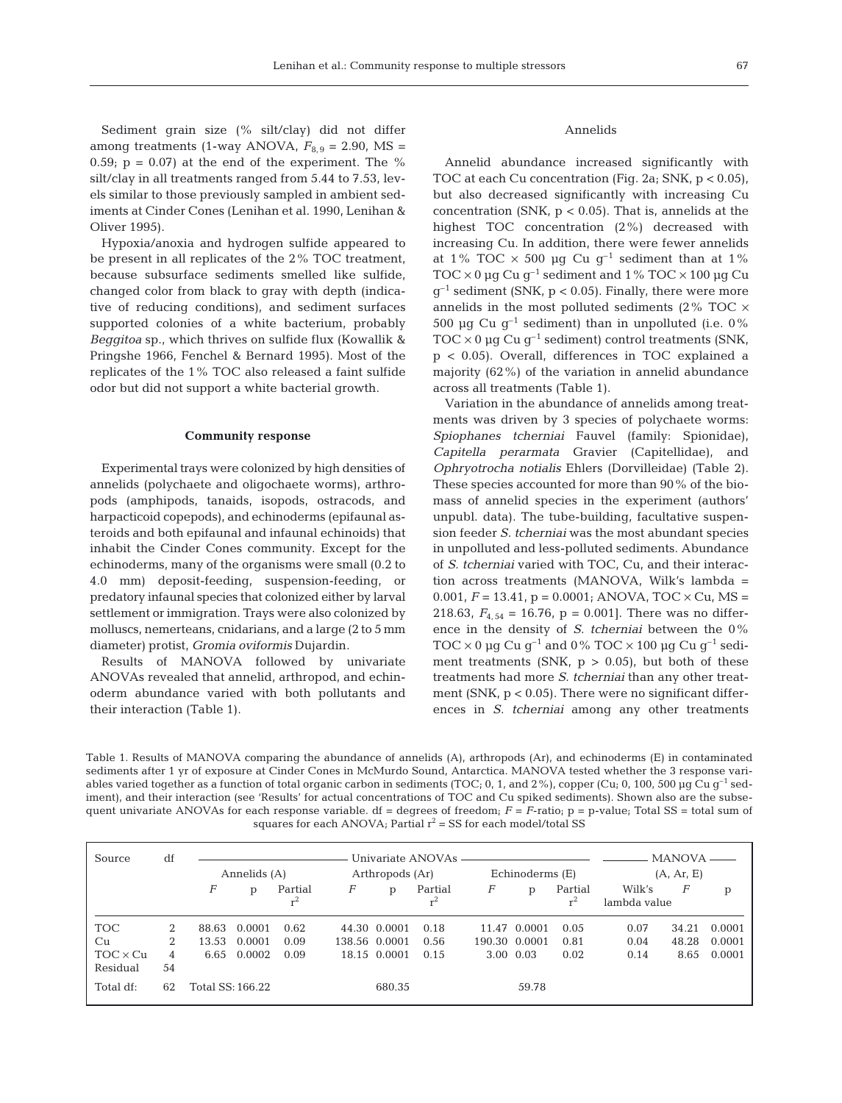Sediment grain size (% silt/clay) did not differ among treatments (1-way ANOVA,  $F_{8,9} = 2.90$ , MS = 0.59;  $p = 0.07$  at the end of the experiment. The % silt/clay in all treatments ranged from 5.44 to 7.53, levels similar to those previously sampled in ambient sediments at Cinder Cones (Lenihan et al. 1990, Lenihan & Oliver 1995).

Hypoxia/anoxia and hydrogen sulfide appeared to be present in all replicates of the 2% TOC treatment, because subsurface sediments smelled like sulfide, changed color from black to gray with depth (indicative of reducing conditions), and sediment surfaces supported colonies of a white bacterium, probably *Beggitoa* sp., which thrives on sulfide flux (Kowallik & Pringshe 1966, Fenchel & Bernard 1995). Most of the replicates of the 1% TOC also released a faint sulfide odor but did not support a white bacterial growth.

#### **Community response**

Experimental trays were colonized by high densities of annelids (polychaete and oligochaete worms), arthropods (amphipods, tanaids, isopods, ostracods, and harpacticoid copepods), and echinoderms (epifaunal asteroids and both epifaunal and infaunal echinoids) that inhabit the Cinder Cones community. Except for the echinoderms, many of the organisms were small (0.2 to 4.0 mm) deposit-feeding, suspension-feeding, or predatory infaunal species that colonized either by larval settlement or immigration. Trays were also colonized by molluscs, nemerteans, cnidarians, and a large (2 to 5 mm diameter) protist, *Gromia oviformis* Dujardin.

Results of MANOVA followed by univariate ANOVAs revealed that annelid, arthropod, and echinoderm abundance varied with both pollutants and their interaction (Table 1).

#### Annelids

Annelid abundance increased significantly with TOC at each Cu concentration (Fig. 2a; SNK,  $p < 0.05$ ), but also decreased significantly with increasing Cu concentration (SNK,  $p < 0.05$ ). That is, annelids at the highest TOC concentration (2%) decreased with increasing Cu. In addition, there were fewer annelids at 1% TOC  $\times$  500 µg Cu g<sup>-1</sup> sediment than at 1% TOC  $\times$  0 µg Cu g<sup>-1</sup> sediment and 1 % TOC  $\times$  100 µg Cu  $q^{-1}$  sediment (SNK,  $p < 0.05$ ). Finally, there were more annelids in the most polluted sediments (2% TOC  $\times$ 500 µg Cu  $g^{-1}$  sediment) than in unpolluted (i.e. 0% TOC  $\times$  0 µg Cu g<sup>-1</sup> sediment) control treatments (SNK, p < 0.05). Overall, differences in TOC explained a majority (62%) of the variation in annelid abundance across all treatments (Table 1).

Variation in the abundance of annelids among treatments was driven by 3 species of polychaete worms: *Spiophanes tcherniai* Fauvel (family: Spionidae), *Capitella perarmata* Gravier (Capitellidae), and *Ophryotrocha notialis* Ehlers (Dorvilleidae) (Table 2). These species accounted for more than 90% of the biomass of annelid species in the experiment (authors' unpubl. data). The tube-building, facultative suspension feeder *S. tcherniai* was the most abundant species in unpolluted and less-polluted sediments. Abundance of *S. tcherniai* varied with TOC, Cu, and their interaction across treatments (MANOVA, Wilk's lambda = 0.001,  $F = 13.41$ ,  $p = 0.0001$ ; ANOVA, TOC  $\times$  Cu, MS = 218.63,  $F_{4, 54} = 16.76$ ,  $p = 0.001$ . There was no difference in the density of *S. tcherniai* between the 0% TOC  $\times$  0 µg Cu g<sup>-1</sup> and 0% TOC  $\times$  100 µg Cu g<sup>-1</sup> sediment treatments (SNK,  $p > 0.05$ ), but both of these treatments had more *S. tcherniai* than any other treatment (SNK,  $p < 0.05$ ). There were no significant differences in *S. tcherniai* among any other treatments

Table 1. Results of MANOVA comparing the abundance of annelids (A), arthropods (Ar), and echinoderms (E) in contaminated sediments after 1 yr of exposure at Cinder Cones in McMurdo Sound, Antarctica. MANOVA tested whether the 3 response variables varied together as a function of total organic carbon in sediments (TOC; 0, 1, and 2%), copper (Cu; 0, 100, 500 µg Cu  $g^{-1}$  sediment), and their interaction (see 'Results' for actual concentrations of TOC and Cu spiked sediments). Shown also are the subsequent univariate ANOVAs for each response variable. df = degrees of freedom; *F* = *F*-ratio; p = p-value; Total SS = total sum of squares for each ANOVA; Partial  $r^2 = SS$  for each model/total SS

| Source                                          | df                |                        | Annelids (A)               |                      |   | Arthropods (Ar)                               |                      |   | Echinoderms (E)                            |                           |                        | <b>MANOVA</b><br>(A, Ar, E) |                            |  |
|-------------------------------------------------|-------------------|------------------------|----------------------------|----------------------|---|-----------------------------------------------|----------------------|---|--------------------------------------------|---------------------------|------------------------|-----------------------------|----------------------------|--|
|                                                 |                   | F                      | р                          | Partial<br>$r^2$     | F | p                                             | Partial<br>$r^2$     | F | p                                          | Partial<br>r <sup>2</sup> | Wilk's<br>lambda value | F                           | p                          |  |
| <b>TOC</b><br>Cu<br>$TOC \times Cu$<br>Residual | 2<br>2<br>4<br>54 | 88.63<br>13.53<br>6.65 | 0.0001<br>0.0001<br>0.0002 | 0.62<br>0.09<br>0.09 |   | 44.30 0.0001<br>138.56 0.0001<br>18.15 0.0001 | 0.18<br>0.56<br>0.15 |   | 11.47 0.0001<br>190.30 0.0001<br>3.00 0.03 | 0.05<br>0.81<br>0.02      | 0.07<br>0.04<br>0.14   | 34.21<br>48.28<br>8.65      | 0.0001<br>0.0001<br>0.0001 |  |
| Total df:                                       | 62                | Total SS: 166.22       |                            |                      |   | 680.35                                        |                      |   | 59.78                                      |                           |                        |                             |                            |  |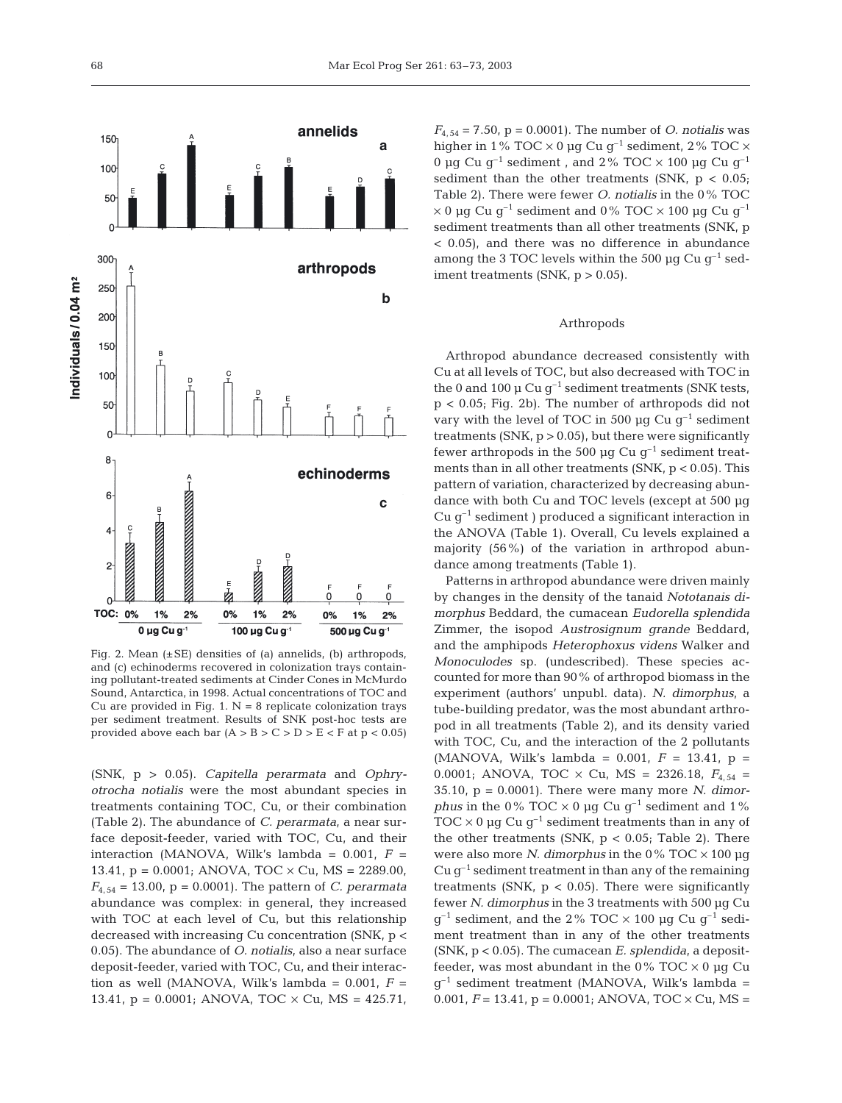

Fig. 2. Mean  $(\pm SE)$  densities of (a) annelids, (b) arthropods, and (c) echinoderms recovered in colonization trays containing pollutant-treated sediments at Cinder Cones in McMurdo Sound, Antarctica, in 1998. Actual concentrations of TOC and Cu are provided in Fig. 1.  $N = 8$  replicate colonization trays per sediment treatment. Results of SNK post-hoc tests are provided above each bar  $(A > B > C > D > E < F$  at  $p < 0.05$ )

(SNK, p > 0.05). *Capitella perarmata* and *Ophryotrocha notialis* were the most abundant species in treatments containing TOC, Cu, or their combination (Table 2). The abundance of *C. perarmata*, a near surface deposit-feeder*,* varied with TOC, Cu, and their interaction (MANOVA, Wilk's lambda =  $0.001$ ,  $F =$ 13.41,  $p = 0.0001$ ; ANOVA, TOC  $\times$  Cu, MS = 2289.00,  $F_{4, 54} = 13.00$ ,  $p = 0.0001$ ). The pattern of *C. perarmata* abundance was complex: in general, they increased with TOC at each level of Cu, but this relationship decreased with increasing Cu concentration (SNK, p < 0.05). The abundance of *O. notialis*, also a near surface deposit-feeder, varied with TOC, Cu, and their interaction as well (MANOVA, Wilk's lambda =  $0.001$ ,  $F =$ 13.41,  $p = 0.0001$ ; ANOVA, TOC  $\times$  Cu, MS = 425.71,

 $F_{4, 54} = 7.50$ ,  $p = 0.0001$ ). The number of *O. notialis* was higher in 1% TOC  $\times$  0 µg Cu g<sup>-1</sup> sediment, 2% TOC  $\times$ 0 µg Cu  $q^{-1}$  sediment, and 2% TOC  $\times$  100 µg Cu  $q^{-1}$ sediment than the other treatments (SNK,  $p < 0.05$ ; Table 2). There were fewer *O. notialis* in the 0% TOC  $\times$  0 µg Cu g<sup>-1</sup> sediment and 0% TOC  $\times$  100 µg Cu g<sup>-1</sup> sediment treatments than all other treatments (SNK, p < 0.05), and there was no difference in abundance among the 3 TOC levels within the 500  $\mu$ g Cu g<sup>-1</sup> sediment treatments (SNK,  $p > 0.05$ ).

#### Arthropods

Arthropod abundance decreased consistently with Cu at all levels of TOC, but also decreased with TOC in the 0 and 100  $\mu$  Cu  $g^{-1}$  sediment treatments (SNK tests, p < 0.05; Fig. 2b). The number of arthropods did not vary with the level of TOC in 500  $\mu$ g Cu g<sup>-1</sup> sediment treatments  $(SNK, p > 0.05)$ , but there were significantly fewer arthropods in the 500 µg Cu  $g^{-1}$  sediment treatments than in all other treatments (SNK, p < 0.05). This pattern of variation, characterized by decreasing abundance with both Cu and TOC levels (except at 500 µg Cu  $g^{-1}$  sediment ) produced a significant interaction in the ANOVA (Table 1). Overall, Cu levels explained a majority (56%) of the variation in arthropod abundance among treatments (Table 1).

Patterns in arthropod abundance were driven mainly by changes in the density of the tanaid *Nototanais dimorphus* Beddard, the cumacean *Eudorella splendida* Zimmer, the isopod *Austrosignum grande* Beddard*,* and the amphipods *Heterophoxus videns* Walker and *Monoculodes* sp. (undescribed). These species accounted for more than 90% of arthropod biomass in the experiment (authors' unpubl. data). *N. dimorphus*, a tube-building predator, was the most abundant arthropod in all treatments (Table 2), and its density varied with TOC, Cu, and the interaction of the 2 pollutants (MANOVA, Wilk's lambda =  $0.001$ ,  $F = 13.41$ ,  $p =$ 0.0001; ANOVA, TOC  $\times$  Cu, MS = 2326.18,  $F_{4,54}$  = 35.10, p = 0.0001). There were many more *N. dimorphus* in the 0% TOC  $\times$  0 µg Cu g<sup>-1</sup> sediment and 1% TOC  $\times$  0 µg Cu g<sup>-1</sup> sediment treatments than in any of the other treatments (SNK,  $p < 0.05$ ; Table 2). There were also more *N. dimorphus* in the 0%  $TOC \times 100 \mu$ g Cu  $g^{-1}$  sediment treatment in than any of the remaining treatments (SNK,  $p < 0.05$ ). There were significantly fewer *N. dimorphus* in the 3 treatments with 500 µg Cu  $q^{-1}$  sediment, and the 2% TOC  $\times$  100 µg Cu g<sup>-1</sup> sediment treatment than in any of the other treatments (SNK, p < 0.05). The cumacean *E. splendida*, a depositfeeder, was most abundant in the  $0\%$  TOC  $\times$  0 µg Cu  $g^{-1}$  sediment treatment (MANOVA, Wilk's lambda = 0.001,  $F = 13.41$ ,  $p = 0.0001$ ; ANOVA, TOC  $\times$  Cu, MS =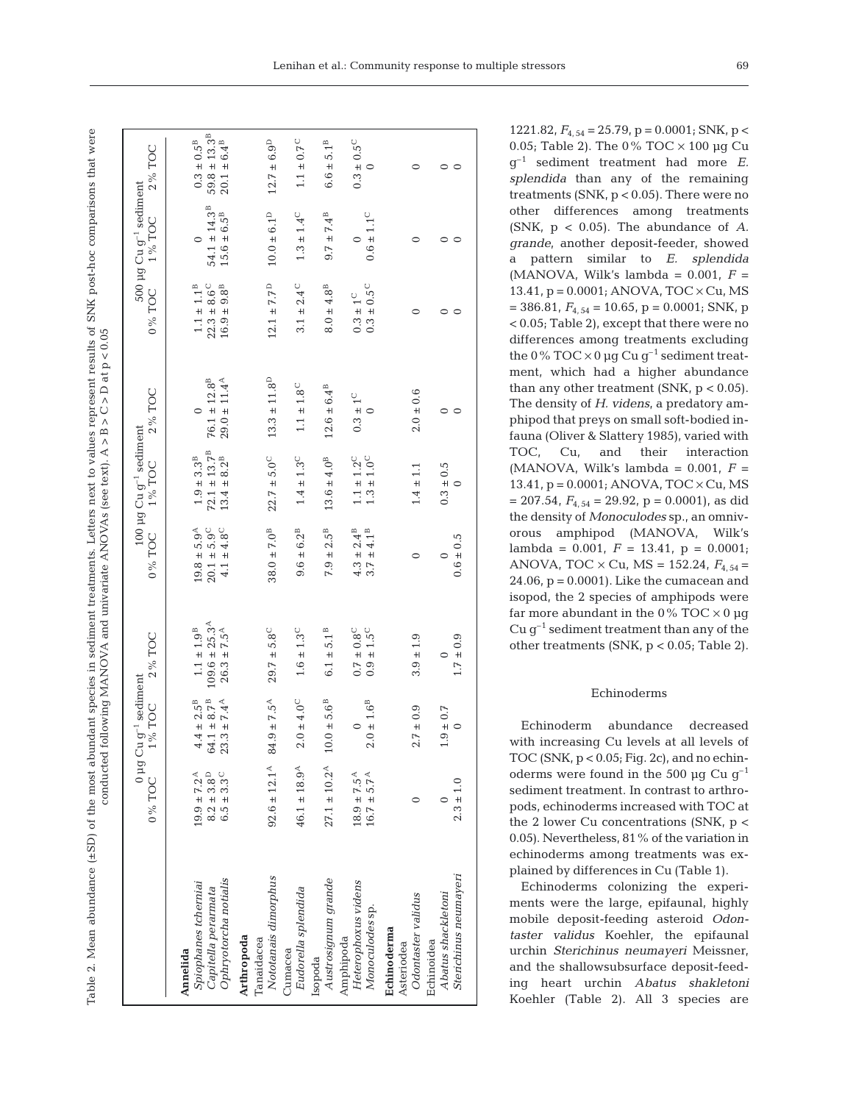Table 2. Mean abundance (±SD) of the most abundant species in sediment treatments. Letters next to values represent results of SNK post-hoc comparisons that were Table 2. Mean abundance (±SD) of the most abundant species in sediment treatments. Letters next to values represent results of SNK post-hoc comparisons that were conducted following MANOVA and univariate ANOVAs (see text). A > B > C > D at p < 0.05 conducted following MANOVA and univariate ANOVAs (see text). A > B > C > D at p < 0.05

|                                                                                  | 0% TOC 1% TOC                                                             | $0~\mu g~Cu~g^{-1}$ sediment                                             | 2% TOC                                                                            | 0% TOC                                                                     | 100 $\mu$ g Cu g <sup>-1</sup> sediment<br>1% TOC                | 2% TOC                                                           | 0% TOC                                                                   | 500 µg Cu g <sup>-1</sup> sediment<br>1% TOC                  | 2% TOC                                                                     |
|----------------------------------------------------------------------------------|---------------------------------------------------------------------------|--------------------------------------------------------------------------|-----------------------------------------------------------------------------------|----------------------------------------------------------------------------|------------------------------------------------------------------|------------------------------------------------------------------|--------------------------------------------------------------------------|---------------------------------------------------------------|----------------------------------------------------------------------------|
| Ophryotorcha notialis<br>Spiophanes tcherniai<br>Capitella perarmata<br>Annelida | $19.9 \pm 7.2^{\text{A}}$<br>$8.2\pm3.8^{\rm D}$<br>$6.5 \pm 3.3^{\circ}$ | $64.1\pm8.7^{\rm B}$<br>$23.3 \pm 7.4^{\text{A}}$<br>$4.4\pm2.5^{\rm B}$ | $109.6\pm25.3^{\mathrm{A}}$<br>$26.3 \pm 7.5^{\mathrm{A}}$<br>$1.1\pm1.9^{\rm B}$ | $19.8\pm5.9^{\mathrm{A}}$<br>$20.1\pm5.9^{\circ}$<br>$4.1 \pm 4.8^{\circ}$ | $72.1 \pm 13.7^B$<br>$1.9\pm3.3^{\rm B}$<br>$13.4\pm8.2^{\rm B}$ | $76.1 \pm 12.8^{\circ}$<br>$29.0 \pm 11.4^{\text{A}}$<br>$\circ$ | $1.1\pm1.1^{\text{B}}$<br>$16.9\pm9.8^{\rm B}$<br>$22.3 \pm 8.6^{\circ}$ | $54.1\pm14.3^{\mathrm{B}}$<br>$15.6\pm6.5^{\rm B}$<br>$\circ$ | $59.8 \pm 13.3^{\mathrm B}$<br>$0.3\pm0.5^{\rm B}$<br>$20.1\pm6.4^{\rm B}$ |
| Nototanais dimorphus<br>Arthropoda<br>Tanaidacea                                 | $92.6 \pm 12.1^{\text{A}}$ 84.9 ± 7.5 <sup>A</sup>                        |                                                                          | $29.7 \pm 5.8^{\circ}$                                                            | $38.0\pm7.0^{\rm B}$                                                       | $22.7 \pm 5.0^{\circ}$                                           | $13.3 \pm 11.8^{\mathrm{D}}$                                     | $12.1 \pm 7.7^{\rm D}$                                                   | $10.0\pm6.1^{\mathrm{D}}$                                     | $12.7 \pm 6.9^{\rm D}$                                                     |
| Eudorella splendida<br>Cumacea                                                   | $46.1 \pm 18.9^{\text{A}}$                                                | $2.0 \pm 4.0^{\circ}$                                                    | $1.6 \pm 1.3 ^{\circ}$                                                            | $9.6 \pm 6.2^{\text{B}}$                                                   | $1.4\pm1.3^{\rm C}$                                              | $1.1\pm1.8^{\rm C}$                                              | $3.1 \pm 2.4^{\circ}$                                                    | $1.3 \pm 1.4^{\rm C}$                                         | $1.1\pm0.7^{\circ}$                                                        |
| Austrosignum grande<br>Isopoda                                                   | $27.1 \pm 10.2^{\text{A}}$ $10.0 \pm 5.6^{\text{B}}$                      |                                                                          | $6.1\pm5.1^{\rm B}$                                                               | $7.9 \pm 2.5^{\circ}$                                                      | $13.6 \pm 4.0^{\rm B}$                                           | $12.6 \pm 6.4^{\circ}$                                           | $8.0 \pm 4.8^{\rm B}$                                                    | $9.7 \pm 7.4^{\,\mathrm{B}}$                                  | $6.6\pm5.1^{\rm B}$                                                        |
| Heterophoxus videns<br>Monoculodes sp.<br>Amphipoda                              | $18.9 \pm 7.5^{A}$<br>$16.7 \pm 5.7^{A}$                                  | $2.0\pm1.6^{\rm B}$<br>$\circ$                                           | $0.7\pm0.8^{\circ}$<br>$0.9 \pm 1.5^{\circ}$                                      | $4.3 \pm 2.4^{\text{B}}$<br>$3.7 \pm 4.1^{\circ}$                          | $1.1\pm1.2^{\rm C}$<br>$1.3\pm1.0^{\rm C}$                       | $0.3\pm1^{\rm C}$<br>$\circ$                                     | $0.3\pm0.5^{\rm C}$<br>$0.3\pm1^{\rm C}$                                 | $0.6 \pm 1.1^{\rm C}$<br>$\subset$                            | $0.3\pm0.5^{\rm C}$<br>$\circ$                                             |
| Odontaster validus<br>Echinoderma<br>Echinoidea<br>Asteriodea                    | 0                                                                         | $2.7 \pm 0.9$                                                            | $3.9 \pm 1.9$                                                                     | $\circ$                                                                    | $1.4 \pm 1.1$                                                    | $2.0 \pm 0.6$                                                    | $\circ$                                                                  | $\circ$                                                       | $\circ$                                                                    |
| Sterichinus neumayeri<br>Abatus shackletoni                                      | $2.3 \pm 1.0$                                                             | $1.9 \pm 0.7$<br>$\circ$                                                 | $1.7 \pm 0.9$<br>$\circ$                                                          | $0.6 \pm 0.5$                                                              | $0.3 \pm 0.5$                                                    | $\circ$<br>$\circ$                                               | $\circ$<br>0                                                             | $\circ$                                                       | $\circ$<br>$\circ$                                                         |

1221.82, *F*4, 54 = 25.79, p = 0.0001; SNK, p < 0.05; Table 2). The 0%  $\text{TOC} \times 100 \mu \text{g}$  Cu g–1 sediment treatment had more *E. splendida* than any of the remaining treatments (SNK, p < 0.05). There were no other differences among treatments (SNK, p < 0.05). The abundance of *A. grande*, another deposit-feeder, showed a pattern similar to *E. splendida* (MANOVA, Wilk's lambda =  $0.001$ ,  $F =$ 13.41,  $p = 0.0001$ ; ANOVA, TOC  $\times$  Cu, MS  $= 386.81, F_{4, 54} = 10.65, p = 0.0001; SNK, p$ < 0.05; Table 2), except that there were no differences among treatments excluding the  $0\%$  TOC  $\times$  0 µg Cu g<sup>-1</sup> sediment treatment, which had a higher abundance than any other treatment (SNK,  $p < 0.05$ ). The density of *H. videns,* a predatory amphipod that preys on small soft-bodied infauna (Oliver & Slattery 1985)*,* varied with TOC, Cu, and their interaction (MANOVA, Wilk's lambda =  $0.001$ ,  $F =$ 13.41,  $p = 0.0001$ ; ANOVA, TOC  $\times$  Cu, MS  $= 207.54$ ,  $F_{4, 54} = 29.92$ ,  $p = 0.0001$ ), as did the density of *Monoculodes* sp., an omnivorous amphipod (MANOVA, Wilk's lambda = 0.001, *F* = 13.41, p = 0.0001; ANOVA, TOC  $\times$  Cu, MS = 152.24,  $F_{4.54}$  =  $24.06$ ,  $p = 0.0001$ ). Like the cumacean and isopod, the 2 species of amphipods were far more abundant in the  $0\%$  TOC  $\times$  0 µg Cu  $q^{-1}$  sediment treatment than any of the other treatments (SNK, p < 0.05; Table 2).

#### Echinoderms

Echinoderm abundance decreased with increasing Cu levels at all levels of TOC (SNK,  $p < 0.05$ ; Fig. 2c), and no echinoderms were found in the 500  $\mu$ q Cu q<sup>-1</sup> sediment treatment. In contrast to arthropods, echinoderms increased with TOC at the 2 lower Cu concentrations (SNK,  $p <$ 0.05). Nevertheless, 81% of the variation in echinoderms among treatments was explained by differences in Cu (Table 1).

Echinoderms colonizing the experiments were the large, epifaunal, highly mobile deposit-feeding asteroid *Odontaster validus* Koehler, the epifaunal urchin *Sterichinus neumayeri* Meissner, and the shallowsubsurface deposit-feeding heart urchin *Abatus shakletoni* Koehler (Table 2). All 3 species are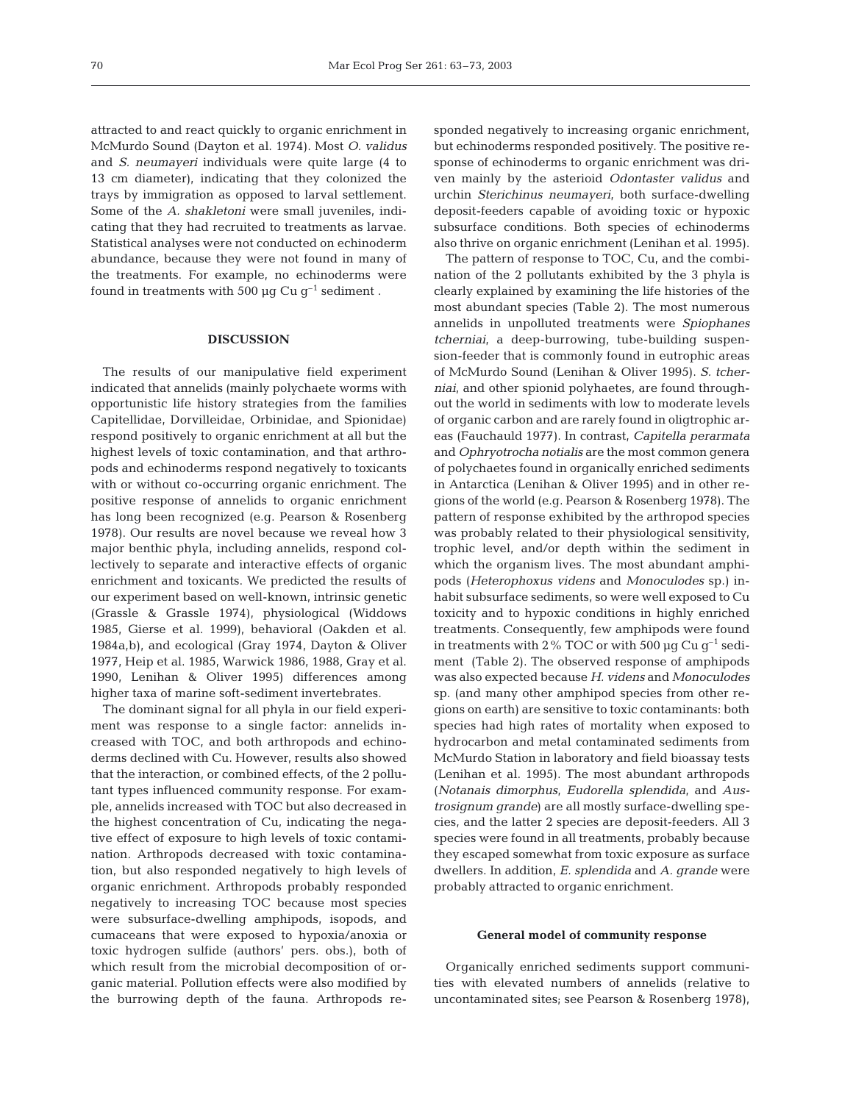attracted to and react quickly to organic enrichment in McMurdo Sound (Dayton et al. 1974). Most *O. validus* and *S. neumayeri* individuals were quite large (4 to 13 cm diameter), indicating that they colonized the trays by immigration as opposed to larval settlement. Some of the *A. shakletoni* were small juveniles, indicating that they had recruited to treatments as larvae. Statistical analyses were not conducted on echinoderm abundance, because they were not found in many of the treatments. For example, no echinoderms were found in treatments with 500  $\mu$ q Cu q<sup>-1</sup> sediment.

#### **DISCUSSION**

The results of our manipulative field experiment indicated that annelids (mainly polychaete worms with opportunistic life history strategies from the families Capitellidae, Dorvilleidae, Orbinidae, and Spionidae) respond positively to organic enrichment at all but the highest levels of toxic contamination, and that arthropods and echinoderms respond negatively to toxicants with or without co-occurring organic enrichment. The positive response of annelids to organic enrichment has long been recognized (e.g. Pearson & Rosenberg 1978). Our results are novel because we reveal how 3 major benthic phyla, including annelids, respond collectively to separate and interactive effects of organic enrichment and toxicants. We predicted the results of our experiment based on well-known, intrinsic genetic (Grassle & Grassle 1974), physiological (Widdows 1985, Gierse et al. 1999), behavioral (Oakden et al. 1984a,b), and ecological (Gray 1974, Dayton & Oliver 1977, Heip et al. 1985, Warwick 1986, 1988, Gray et al. 1990, Lenihan & Oliver 1995) differences among higher taxa of marine soft-sediment invertebrates.

The dominant signal for all phyla in our field experiment was response to a single factor: annelids increased with TOC, and both arthropods and echinoderms declined with Cu. However, results also showed that the interaction, or combined effects, of the 2 pollutant types influenced community response. For example, annelids increased with TOC but also decreased in the highest concentration of Cu, indicating the negative effect of exposure to high levels of toxic contamination. Arthropods decreased with toxic contamination, but also responded negatively to high levels of organic enrichment. Arthropods probably responded negatively to increasing TOC because most species were subsurface-dwelling amphipods, isopods, and cumaceans that were exposed to hypoxia/anoxia or toxic hydrogen sulfide (authors' pers. obs.), both of which result from the microbial decomposition of organic material. Pollution effects were also modified by the burrowing depth of the fauna. Arthropods responded negatively to increasing organic enrichment. but echinoderms responded positively. The positive response of echinoderms to organic enrichment was driven mainly by the asterioid *Odontaster validus* and urchin *Sterichinus neumayeri*, both surface-dwelling deposit-feeders capable of avoiding toxic or hypoxic subsurface conditions. Both species of echinoderms also thrive on organic enrichment (Lenihan et al. 1995).

The pattern of response to TOC, Cu, and the combination of the 2 pollutants exhibited by the 3 phyla is clearly explained by examining the life histories of the most abundant species (Table 2). The most numerous annelids in unpolluted treatments were *Spiophanes tcherniai*, a deep-burrowing, tube-building suspension-feeder that is commonly found in eutrophic areas of McMurdo Sound (Lenihan & Oliver 1995). *S. tcherniai*, and other spionid polyhaetes, are found throughout the world in sediments with low to moderate levels of organic carbon and are rarely found in oligtrophic areas (Fauchauld 1977). In contrast, *Capitella perarmata* and *Ophryotrocha notialis* are the most common genera of polychaetes found in organically enriched sediments in Antarctica (Lenihan & Oliver 1995) and in other regions of the world (e.g. Pearson & Rosenberg 1978). The pattern of response exhibited by the arthropod species was probably related to their physiological sensitivity, trophic level, and/or depth within the sediment in which the organism lives. The most abundant amphipods (*Heterophoxus videns* and *Monoculodes* sp.) inhabit subsurface sediments, so were well exposed to Cu toxicity and to hypoxic conditions in highly enriched treatments. Consequently, few amphipods were found in treatments with 2% TOC or with 500  $\mu$ g Cu g<sup>-1</sup> sediment (Table 2). The observed response of amphipods was also expected because *H. videns* and *Monoculodes* sp. (and many other amphipod species from other regions on earth) are sensitive to toxic contaminants: both species had high rates of mortality when exposed to hydrocarbon and metal contaminated sediments from McMurdo Station in laboratory and field bioassay tests (Lenihan et al. 1995). The most abundant arthropods (*Notanais dimorphus*, *Eudorella splendida*, and *Austrosignum grande*) are all mostly surface-dwelling species, and the latter 2 species are deposit-feeders. All 3 species were found in all treatments, probably because they escaped somewhat from toxic exposure as surface dwellers. In addition, *E. splendida* and *A. grande* were probably attracted to organic enrichment.

#### **General model of community response**

Organically enriched sediments support communities with elevated numbers of annelids (relative to uncontaminated sites; see Pearson & Rosenberg 1978),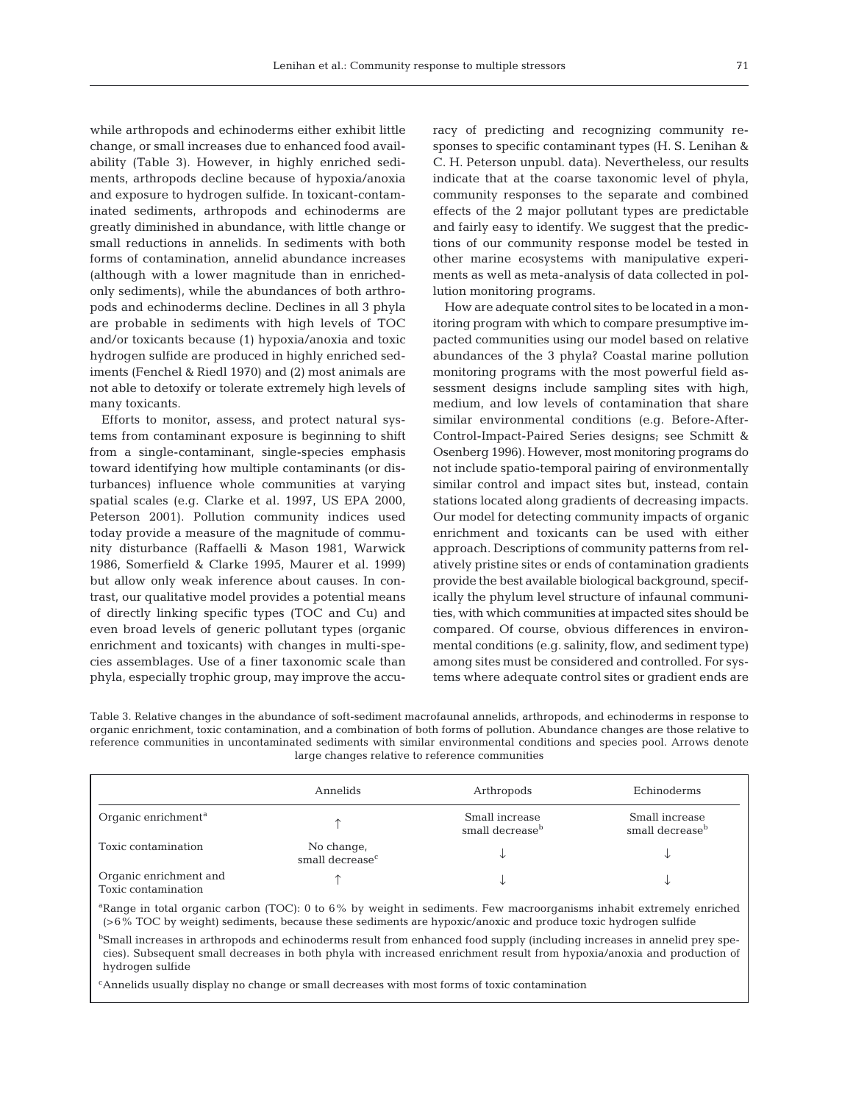while arthropods and echinoderms either exhibit little change, or small increases due to enhanced food availability (Table 3). However, in highly enriched sediments, arthropods decline because of hypoxia/anoxia and exposure to hydrogen sulfide. In toxicant-contaminated sediments, arthropods and echinoderms are greatly diminished in abundance, with little change or small reductions in annelids. In sediments with both forms of contamination, annelid abundance increases (although with a lower magnitude than in enrichedonly sediments), while the abundances of both arthropods and echinoderms decline. Declines in all 3 phyla are probable in sediments with high levels of TOC and/or toxicants because (1) hypoxia/anoxia and toxic hydrogen sulfide are produced in highly enriched sediments (Fenchel & Riedl 1970) and (2) most animals are not able to detoxify or tolerate extremely high levels of many toxicants.

Efforts to monitor, assess, and protect natural systems from contaminant exposure is beginning to shift from a single-contaminant, single-species emphasis toward identifying how multiple contaminants (or disturbances) influence whole communities at varying spatial scales (e.g. Clarke et al. 1997, US EPA 2000, Peterson 2001). Pollution community indices used today provide a measure of the magnitude of community disturbance (Raffaelli & Mason 1981, Warwick 1986, Somerfield & Clarke 1995, Maurer et al. 1999) but allow only weak inference about causes. In contrast, our qualitative model provides a potential means of directly linking specific types (TOC and Cu) and even broad levels of generic pollutant types (organic enrichment and toxicants) with changes in multi-species assemblages. Use of a finer taxonomic scale than phyla, especially trophic group, may improve the accu-

racy of predicting and recognizing community responses to specific contaminant types (H. S. Lenihan & C. H. Peterson unpubl. data). Nevertheless, our results indicate that at the coarse taxonomic level of phyla, community responses to the separate and combined effects of the 2 major pollutant types are predictable and fairly easy to identify. We suggest that the predictions of our community response model be tested in other marine ecosystems with manipulative experiments as well as meta-analysis of data collected in pollution monitoring programs.

How are adequate control sites to be located in a monitoring program with which to compare presumptive impacted communities using our model based on relative abundances of the 3 phyla? Coastal marine pollution monitoring programs with the most powerful field assessment designs include sampling sites with high, medium, and low levels of contamination that share similar environmental conditions (e.g. Before-After-Control-Impact-Paired Series designs; see Schmitt & Osenberg 1996). However, most monitoring programs do not include spatio-temporal pairing of environmentally similar control and impact sites but, instead, contain stations located along gradients of decreasing impacts. Our model for detecting community impacts of organic enrichment and toxicants can be used with either approach. Descriptions of community patterns from relatively pristine sites or ends of contamination gradients provide the best available biological background, specifically the phylum level structure of infaunal communities, with which communities at impacted sites should be compared. Of course, obvious differences in environmental conditions (e.g. salinity, flow, and sediment type) among sites must be considered and controlled. For systems where adequate control sites or gradient ends are

Table 3. Relative changes in the abundance of soft-sediment macrofaunal annelids, arthropods, and echinoderms in response to organic enrichment, toxic contamination, and a combination of both forms of pollution. Abundance changes are those relative to reference communities in uncontaminated sediments with similar environmental conditions and species pool. Arrows denote large changes relative to reference communities

|                                               | Annelids                                  | Arthropods                                    | Echinoderms                                   |
|-----------------------------------------------|-------------------------------------------|-----------------------------------------------|-----------------------------------------------|
| Organic enrichment <sup>a</sup>               |                                           | Small increase<br>small decrease <sup>b</sup> | Small increase<br>small decrease <sup>b</sup> |
| Toxic contamination                           | No change,<br>small decrease <sup>c</sup> |                                               | ◡                                             |
| Organic enrichment and<br>Toxic contamination |                                           |                                               | J                                             |

<sup>a</sup>Range in total organic carbon (TOC): 0 to 6% by weight in sediments. Few macroorganisms inhabit extremely enriched (>6% TOC by weight) sediments, because these sediments are hypoxic/anoxic and produce toxic hydrogen sulfide

<sup>b</sup>Small increases in arthropods and echinoderms result from enhanced food supply (including increases in annelid prey species). Subsequent small decreases in both phyla with increased enrichment result from hypoxia/anoxia and production of hydrogen sulfide

c Annelids usually display no change or small decreases with most forms of toxic contamination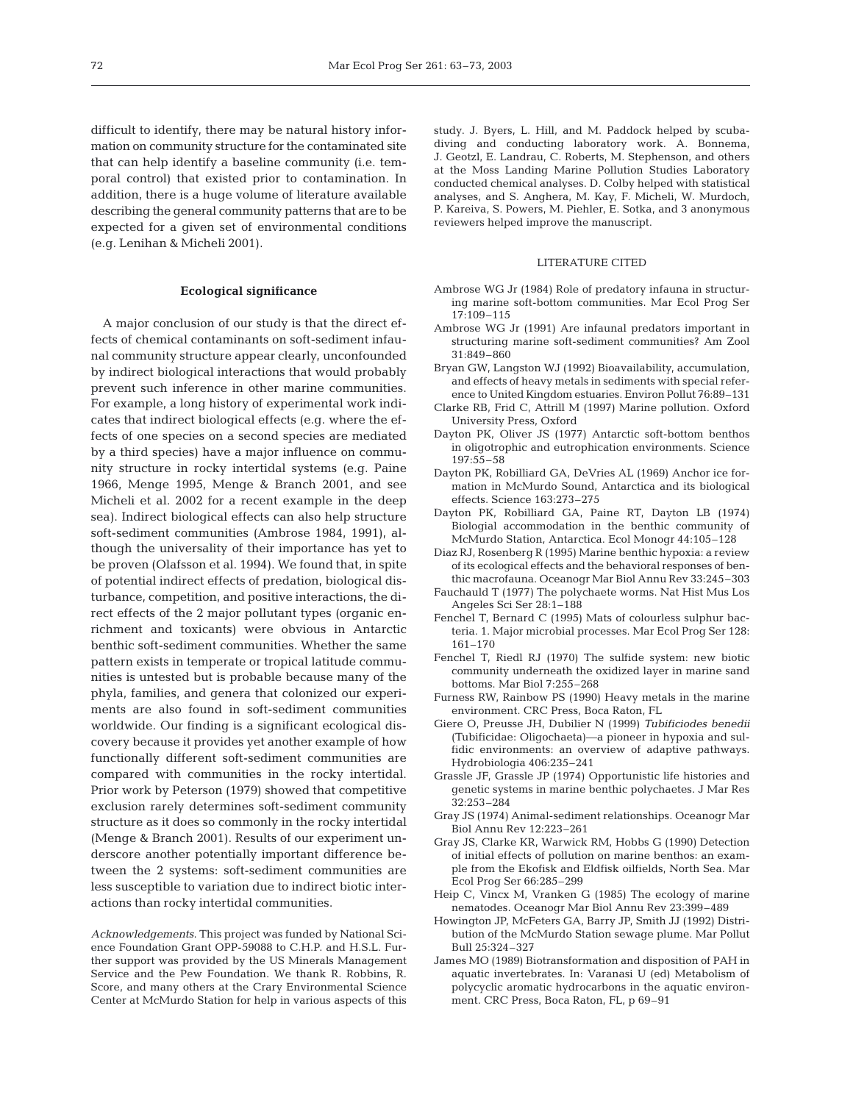difficult to identify, there may be natural history information on community structure for the contaminated site that can help identify a baseline community (i.e. temporal control) that existed prior to contamination. In addition, there is a huge volume of literature available describing the general community patterns that are to be expected for a given set of environmental conditions (e.g. Lenihan & Micheli 2001).

#### **Ecological significance**

A major conclusion of our study is that the direct effects of chemical contaminants on soft-sediment infaunal community structure appear clearly, unconfounded by indirect biological interactions that would probably prevent such inference in other marine communities. For example, a long history of experimental work indicates that indirect biological effects (e.g. where the effects of one species on a second species are mediated by a third species) have a major influence on community structure in rocky intertidal systems (e.g. Paine 1966, Menge 1995, Menge & Branch 2001, and see Micheli et al. 2002 for a recent example in the deep sea). Indirect biological effects can also help structure soft-sediment communities (Ambrose 1984, 1991), although the universality of their importance has yet to be proven (Olafsson et al. 1994). We found that, in spite of potential indirect effects of predation, biological disturbance, competition, and positive interactions, the direct effects of the 2 major pollutant types (organic enrichment and toxicants) were obvious in Antarctic benthic soft-sediment communities. Whether the same pattern exists in temperate or tropical latitude communities is untested but is probable because many of the phyla, families, and genera that colonized our experiments are also found in soft-sediment communities worldwide. Our finding is a significant ecological discovery because it provides yet another example of how functionally different soft-sediment communities are compared with communities in the rocky intertidal. Prior work by Peterson (1979) showed that competitive exclusion rarely determines soft-sediment community structure as it does so commonly in the rocky intertidal (Menge & Branch 2001). Results of our experiment underscore another potentially important difference between the 2 systems: soft-sediment communities are less susceptible to variation due to indirect biotic interactions than rocky intertidal communities.

*Acknowledgements*. This project was funded by National Science Foundation Grant OPP-59088 to C.H.P. and H.S.L. Further support was provided by the US Minerals Management Service and the Pew Foundation. We thank R. Robbins, R. Score, and many others at the Crary Environmental Science Center at McMurdo Station for help in various aspects of this

study. J. Byers, L. Hill, and M. Paddock helped by scubadiving and conducting laboratory work. A. Bonnema, J. Geotzl, E. Landrau, C. Roberts, M. Stephenson, and others at the Moss Landing Marine Pollution Studies Laboratory conducted chemical analyses. D. Colby helped with statistical analyses, and S. Anghera, M. Kay, F. Micheli, W. Murdoch, P. Kareiva, S. Powers, M. Piehler, E. Sotka, and 3 anonymous reviewers helped improve the manuscript.

#### LITERATURE CITED

- Ambrose WG Jr (1984) Role of predatory infauna in structuring marine soft-bottom communities. Mar Ecol Prog Ser 17:109–115
- Ambrose WG Jr (1991) Are infaunal predators important in structuring marine soft-sediment communities? Am Zool 31:849–860
- Bryan GW, Langston WJ (1992) Bioavailability, accumulation, and effects of heavy metals in sediments with special reference to United Kingdom estuaries. Environ Pollut 76:89–131
- Clarke RB, Frid C, Attrill M (1997) Marine pollution. Oxford University Press, Oxford
- Dayton PK, Oliver JS (1977) Antarctic soft-bottom benthos in oligotrophic and eutrophication environments. Science 197:55–58
- Dayton PK, Robilliard GA, DeVries AL (1969) Anchor ice formation in McMurdo Sound, Antarctica and its biological effects. Science 163:273–275
- Dayton PK, Robilliard GA, Paine RT, Dayton LB (1974) Biologial accommodation in the benthic community of McMurdo Station, Antarctica. Ecol Monogr 44:105–128
- Diaz RJ, Rosenberg R (1995) Marine benthic hypoxia: a review of its ecological effects and the behavioral responses of benthic macrofauna. Oceanogr Mar Biol Annu Rev 33:245–303
- Fauchauld T (1977) The polychaete worms. Nat Hist Mus Los Angeles Sci Ser 28:1–188
- Fenchel T, Bernard C (1995) Mats of colourless sulphur bacteria. 1. Major microbial processes. Mar Ecol Prog Ser 128: 161–170
- Fenchel T, Riedl RJ (1970) The sulfide system: new biotic community underneath the oxidized layer in marine sand bottoms. Mar Biol 7:255–268
- Furness RW, Rainbow PS (1990) Heavy metals in the marine environment. CRC Press, Boca Raton, FL
- Giere O, Preusse JH, Dubilier N (1999) *Tubificiodes benedii* (Tubificidae: Oligochaeta)—a pioneer in hypoxia and sulfidic environments: an overview of adaptive pathways. Hydrobiologia 406:235–241
- Grassle JF, Grassle JP (1974) Opportunistic life histories and genetic systems in marine benthic polychaetes. J Mar Res 32:253–284
- Gray JS (1974) Animal-sediment relationships. Oceanogr Mar Biol Annu Rev 12:223–261
- Gray JS, Clarke KR, Warwick RM, Hobbs G (1990) Detection of initial effects of pollution on marine benthos: an example from the Ekofisk and Eldfisk oilfields, North Sea. Mar Ecol Prog Ser 66:285–299
- Heip C, Vincx M, Vranken G (1985) The ecology of marine nematodes. Oceanogr Mar Biol Annu Rev 23:399–489
- Howington JP, McFeters GA, Barry JP, Smith JJ (1992) Distribution of the McMurdo Station sewage plume. Mar Pollut Bull 25:324–327
- James MO (1989) Biotransformation and disposition of PAH in aquatic invertebrates. In: Varanasi U (ed) Metabolism of polycyclic aromatic hydrocarbons in the aquatic environment. CRC Press, Boca Raton, FL, p 69–91